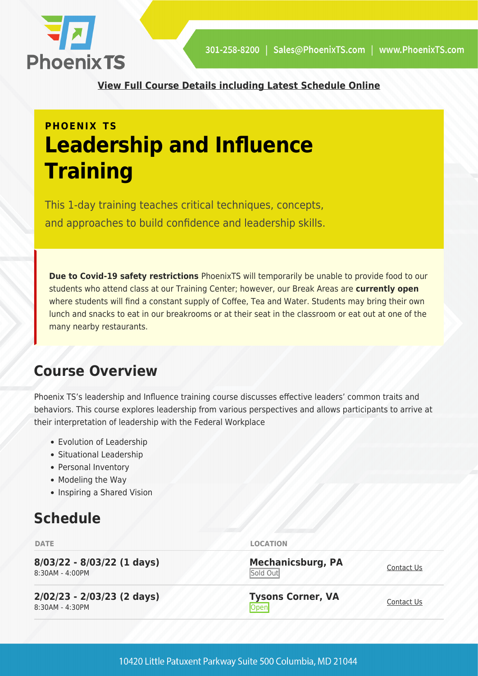

**[View Full Course Details including Latest Schedule Online](https://phoenixts.com/training-courses/leadership-and-influence/)**

## **PHOENIX TS Leadership and Influence Training**

This 1-day training teaches critical techniques, concepts, and approaches to build confidence and leadership skills.

**Due to Covid-19 safety restrictions** PhoenixTS will temporarily be unable to provide food to our students who attend class at our Training Center; however, our Break Areas are **currently open** where students will find a constant supply of Coffee, Tea and Water. Students may bring their own lunch and snacks to eat in our breakrooms or at their seat in the classroom or eat out at one of the many nearby restaurants.

## **Course Overview**

Phoenix TS's leadership and Influence training course discusses effective leaders' common traits and behaviors. This course explores leadership from various perspectives and allows participants to arrive at their interpretation of leadership with the Federal Workplace

- Evolution of Leadership
- Situational Leadership
- Personal Inventory
- Modeling the Way
- Inspiring a Shared Vision

## **Schedule**

**8/03/22 - 8/03/22 (1 days)** 8:30AM - 4:00PM

**2/02/23 - 2/03/23 (2 days)** 8:30AM - 4:30PM

**DATE LOCATION**

**Mechanicsburg, PA** Sold Out

**Tysons Corner, VA Open** [Contact Us](https://phoenixts.com/schedule/more-info/?class=31214) **Contact Us**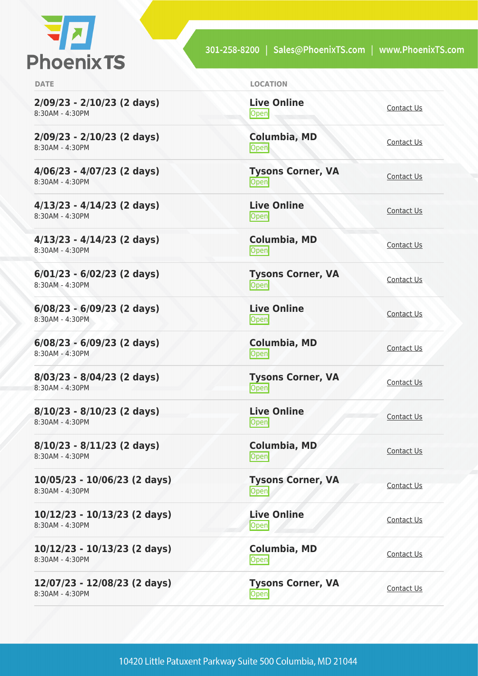

301-258-8200 | Sales@PhoenixTS.com | www.PhoenixTS.com

**2/09/23 - 2/10/23 (2 days)** 8:30AM - 4:30PM

**2/09/23 - 2/10/23 (2 days)** 8:30AM - 4:30PM

**4/06/23 - 4/07/23 (2 days)** 8:30AM - 4:30PM

**4/13/23 - 4/14/23 (2 days)** 8:30AM - 4:30PM

**4/13/23 - 4/14/23 (2 days)** 8:30AM - 4:30PM

**6/01/23 - 6/02/23 (2 days)** 8:30AM - 4:30PM

**6/08/23 - 6/09/23 (2 days)** 8:30AM - 4:30PM

**6/08/23 - 6/09/23 (2 days)** 8:30AM - 4:30PM

**8/03/23 - 8/04/23 (2 days)** 8:30AM - 4:30PM

**8/10/23 - 8/10/23 (2 days)** 8:30AM - 4:30PM

**8/10/23 - 8/11/23 (2 days)** 8:30AM - 4:30PM

**10/05/23 - 10/06/23 (2 days)** 8:30AM - 4:30PM

**10/12/23 - 10/13/23 (2 days)** 8:30AM - 4:30PM

**10/12/23 - 10/13/23 (2 days)** 8:30AM - 4:30PM

**12/07/23 - 12/08/23 (2 days)** 8:30AM - 4:30PM

**DATE LOCATION**

**Live Online** <u>[Contact Us](https://phoenixts.com/schedule/more-info/?class=31220)</u>

**Columbia, MD [Contact Us](https://phoenixts.com/schedule/more-info/?class=31229)** 

**Tysons Corner, VA Open** [Contact Us](https://phoenixts.com/schedule/more-info/?class=31215)

**Live Online**

**Columbia, MD** [Contact Us](https://phoenixts.com/schedule/more-info/?class=31230)<br>
Open

**Tysons Corner, VA Open** [Contact Us](https://phoenixts.com/schedule/more-info/?class=31216) Contact Us

<u>[Contact Us](https://phoenixts.com/schedule/more-info/?class=31222)</u><br>
Open

**[Contact Us](https://phoenixts.com/schedule/more-info/?class=31231)**<br>
Open

**Tysons Corner, VA Open** [Contact Us](https://phoenixts.com/schedule/more-info/?class=31217)

**Live Online** <u>Open</u> [Contact Us](https://phoenixts.com/schedule/more-info/?class=31223)

<u>Open</u>

<u>[Contact Us](https://phoenixts.com/schedule/more-info/?class=31221)</u>

**Live Online**

**Columbia, MD**

**Columbia, MD** [Contact Us](https://phoenixts.com/schedule/more-info/?class=31228)<br>Open

**Tysons Corner, VA**

**Live Online [Contact Us](https://phoenixts.com/schedule/more-info/?class=31225)** 

**Columbia, MD** [Contact Us](https://phoenixts.com/schedule/more-info/?class=31227)<br>Open

**Tysons Corner, VA Open** [Contact Us](https://phoenixts.com/schedule/more-info/?class=31219)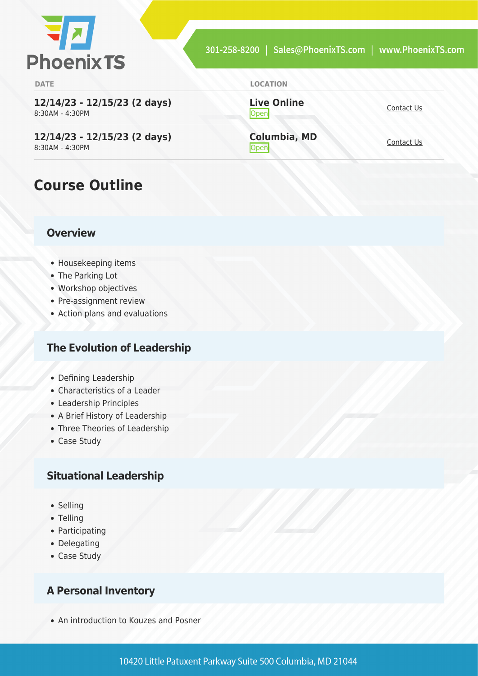

**12/14/23 - 12/15/23 (2 days)** 8:30AM - 4:30PM

**12/14/23 - 12/15/23 (2 days)** 8:30AM - 4:30PM

## **Course Outline**

#### **Overview**

- Housekeeping items
- The Parking Lot
- Workshop objectives
- Pre-assignment review
- Action plans and evaluations

#### **The Evolution of Leadership**

- Defining Leadership
- Characteristics of a Leader
- Leadership Principles
- A Brief History of Leadership
- Three Theories of Leadership
- Case Study

#### **Situational Leadership**

- Selling
- Telling
- Participating
- Delegating
- Case Study

#### **A Personal Inventory**

An introduction to Kouzes and Posner

**Live Online** <u>[Contact Us](https://phoenixts.com/schedule/more-info/?class=31224)</u>

**Columbia, MD [Contact Us](https://phoenixts.com/schedule/more-info/?class=31226)**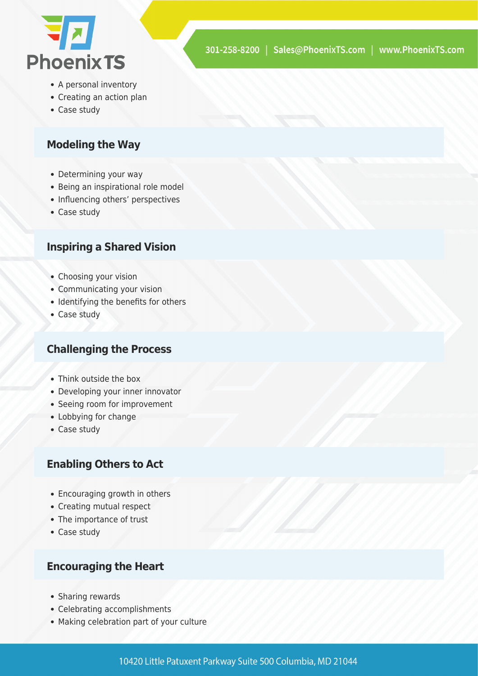

- A personal inventory
- Creating an action plan
- Case study

#### **Modeling the Way**

- Determining your way
- Being an inspirational role model
- Influencing others' perspectives
- Case study

#### **Inspiring a Shared Vision**

- Choosing your vision
- Communicating your vision
- Identifying the benefits for others
- Case study

#### **Challenging the Process**

- Think outside the box
- Developing your inner innovator
- Seeing room for improvement
- Lobbying for change
- Case study

#### **Enabling Others to Act**

- Encouraging growth in others
- Creating mutual respect
- The importance of trust
- Case study

#### **Encouraging the Heart**

- Sharing rewards
- Celebrating accomplishments
- Making celebration part of your culture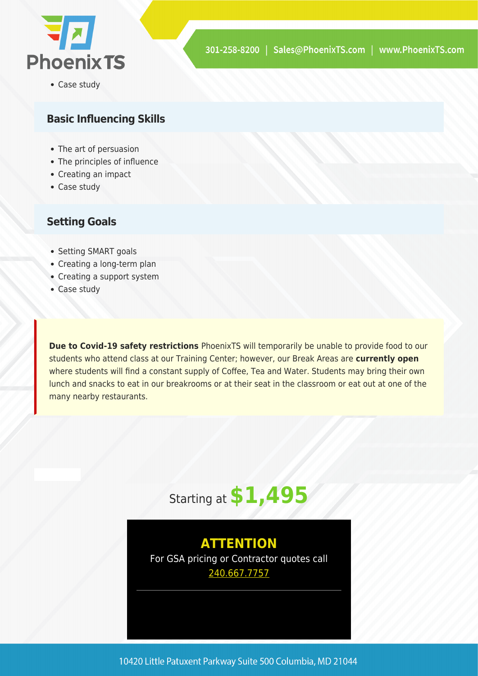

• Case study

#### **Basic Influencing Skills**

- The art of persuasion
- The principles of influence
- Creating an impact
- Case study

#### **Setting Goals**

- Setting SMART goals
- Creating a long-term plan
- Creating a support system
- Case study

**Due to Covid-19 safety restrictions** PhoenixTS will temporarily be unable to provide food to our students who attend class at our Training Center; however, our Break Areas are **currently open** where students will find a constant supply of Coffee, Tea and Water. Students may bring their own lunch and snacks to eat in our breakrooms or at their seat in the classroom or eat out at one of the many nearby restaurants.

# Starting at **\$1,495**

### **ATTENTION**

For GSA pricing or Contractor quotes call [240.667.7757](#page--1-0)